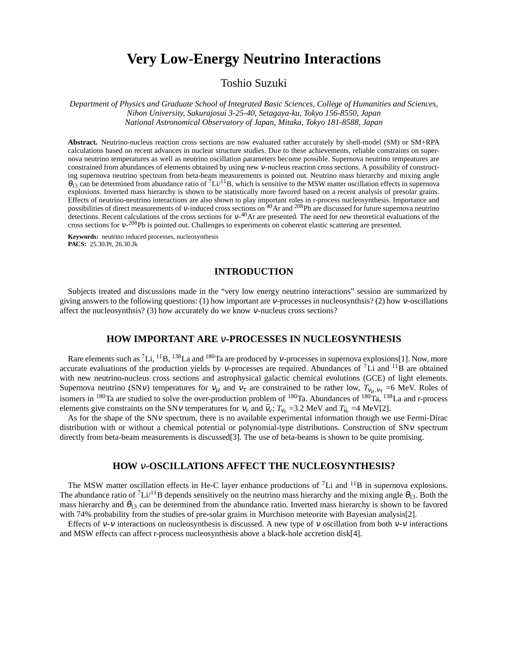# **Very Low-Energy Neutrino Interactions**

## Toshio Suzuki

*Department of Physics and Graduate School of Integrated Basic Sciences, College of Humanities and Sciences, Nihon University, Sakurajosui 3-25-40, Setagaya-ku, Tokyo 156-8550, Japan National Astronomical Observatory of Japan, Mitaka, Tokyo 181-8588, Japan*

**Abstract.** Neutrino-nucleus reaction cross sections are now evaluated rather accurately by shell-model (SM) or SM+RPA calculations based on recent advances in nuclear structure studies. Due to these achievements, reliable constraints on supernova neutrino temperatures as well as neutrino oscillation parameters become possible. Supernova neutrino tempeatures are constrained from abundances of elements obtained by using new <sup>ν</sup>-nucleus reaction cross sections. A possibility of constructing supernova neutrino spectrum from beta-beam measurements is pointed out. Neutrino mass hierarchy and mixing angle  $\theta_{13}$  can be determined from abundance ratio of  ${}^{7}Li/{}^{11}B$ , which is sensitive to the MSW matter oscillation effects in supernova explosions. Inverted mass hierarchy is shown to be statistically more favored based on a recent analysis of presolar grains. Effects of neutrino-neutrino interactions are also shown to play important roles in r-process nucleosynthesis. Importance and possibilities of direct measurements of v-induced cross sections on <sup>40</sup>Ar and <sup>208</sup>Pb are discussed for future supernova neutrino detections. Recent calculations of the cross sections for <sup>ν</sup>-<sup>40</sup>Ar are presented. The need for new theoretical evaluations of the cross sections for  $v$ -<sup>208</sup>Pb is pointed out. Challenges to experiments on coherent elastic scattering are presented.

**Keywords:** neutrino induced processes, nucleosynthesis **PACS:** 25.30.Pt, 26.30.Jk

## **INTRODUCTION**

Subjects treated and discussions made in the "very low energy neutrino interactions" session are summarized by giving answers to the following questions: (1) how important are <sup>ν</sup>-processes in nucleosynthsis? (2) how <sup>ν</sup>-oscillations affect the nucleosynthsis? (3) how accurately do we know <sup>ν</sup>-nucleus cross sections?

## **HOW IMPORTANT ARE** <sup>ν</sup>**-PROCESSES IN NUCLEOSYNTHESIS**

Rare elements such as <sup>7</sup>Li, <sup>11</sup>B, <sup>138</sup>La and <sup>180</sup>Ta are produced by *v*-processes in supernova explosions[1]. Now, more accurate evaluations of the production yields by v-processes are required. Abundances of  $^7$ Li and  $^{11}$ B are obtained with new neutrino-nucleus cross sections and astrophysical galactic chemical evolutions (GCE) of light elements. Supernova neutrino (SN*v*) temperatures for  $v_\mu$  and  $v_\tau$  are constrained to be rather low,  $T_{v_\mu,v_\tau}$  =6 MeV. Roles of isomers in <sup>180</sup>Ta are studied to solve the over-production problem of <sup>180</sup>Ta. Abundances of <sup>180</sup>Ta, <sup>138</sup>La and r-process elements give constraints on the SNv temperatures for  $v_e$  and  $\bar{v}_e$ ;  $T_{v_e}$  =3.2 MeV and  $T_{\bar{v}_e}$  =4 MeV[2].

As for the shape of the SNv spectrum, there is no available experimental information though we use Fermi-Dirac distribution with or without a chemical potential or polynomial-type distributions. Construction of SN<sup>ν</sup> spectrum directly from beta-beam measurements is discussed[3]. The use of beta-beams is shown to be quite promising.

## **HOW** <sup>ν</sup>**-OSCILLATIONS AFFECT THE NUCLEOSYNTHESIS?**

The MSW matter oscillation effects in He-C layer enhance productions of  ${}^{7}Li$  and  ${}^{11}B$  in supernova explosions. The abundance ratio of  ${}^{7}Li/{}^{11}B$  depends sensitively on the neutrino mass hierarchy and the mixing angle  $\theta_{13}$ . Both the mass hierarchy and  $\theta_{13}$  can be determined from the abundance ratio. Inverted mass hierarchy is shown to be favored with 74% probability from the studies of pre-solar grains in Murchison meteorite with Bayesian analysis[2].

Effects of  $v$ -v interactions on nucleosynthesis is discussed. A new type of v oscillation from both  $v$ -v interactions and MSW effects can affect r-process nucleosynthesis above a black-hole accretion disk[4].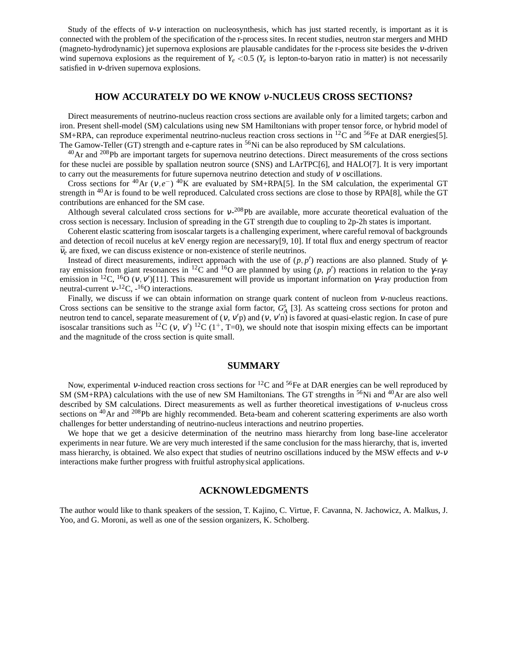Study of the effects of  $v$ - $v$  interaction on nucleosynthesis, which has just started recently, is important as it is connected with the problem of the specification of the r-process sites. In recent studies, neutron star mergers and MHD (magneto-hydrodynamic) jet supernova explosions are plausable candidates for the r-process site besides the <sup>ν</sup>-driven wind supernova explosions as the requirement of  $Y_e < 0.5$  ( $Y_e$  is lepton-to-baryon ratio in matter) is not necessarily satisfied in <sup>ν</sup>-driven supernova explosions.

## **HOW ACCURATELY DO WE KNOW** <sup>ν</sup>**-NUCLEUS CROSS SECTIONS?**

Direct measurements of neutrino-nucleus reaction cross sections are available only for a limited targets; carbon and iron. Present shell-model (SM) calculations using new SM Hamiltonians with proper tensor force, or hybrid model of  $SM+RPA$ , can reproduce experimental neutrino-nucleus reaction cross sections in <sup>12</sup>C and <sup>56</sup>Fe at DAR energies[5]. The Gamow-Teller (GT) strength and e-capture rates in <sup>56</sup>Ni can be also reproduced by SM calculations.

 $^{40}$ Ar and  $^{208}$ Pb are important targets for supernova neutrino detections. Direct measurements of the cross sections for these nuclei are possible by spallation neutron source (SNS) and LArTPC[6], and HALO[7]. It is very important to carry out the measurements for future supernova neutrino detection and study of  $v$  oscillations.

Cross sections for <sup>40</sup>Ar ( $v, e^-$ )<sup>40</sup>K are evaluated by SM+RPA[5]. In the SM calculation, the experimental GT strength in <sup>40</sup>Ar is found to be well reproduced. Calculated cross sections are close to those by RPA[8], while the GT contributions are enhanced for the SM case.

Although several calculated cross sections for  $v^{-208}Pb$  are available, more accurate theoretical evaluation of the cross section is necessary. Inclusion of spreading in the GT strength due to coupling to 2p-2h states is important.

Coherent elastic scattering from isoscalar targets is a challenging experiment, where careful removal of backgrounds and detection of recoil nucelus at keV energy region are necessary[9, 10]. If total flux and energy spectrum of reactor  $\bar{v}_e$  are fixed, we can discuss existence or non-existence of sterile neutrinos.

Instead of direct measurements, indirect approach with the use of  $(p, p')$  reactions are also planned. Study of  $\gamma$ ray emission from giant resonances in <sup>12</sup>C and <sup>16</sup>O are plannned by using (*p*, *p*') reactions in relation to the γ-ray emission in <sup>12</sup>C, <sup>16</sup>O (v, v')[11]. This measurement will provide us important information on  $\gamma$ -ray production from neutral-current  $v^{-12}$ C,  $-{}^{16}$ O interactions.

Finally, we discuss if we can obtain information on strange quark content of nucleon from <sup>ν</sup>-nucleus reactions. Cross sections can be sensitive to the strange axial form factor,  $G_A^s$  [3]. As scatteing cross sections for proton and neutron tend to cancel, separate measurement of  $(v, v'p)$  and  $(v, v'n)$  is favored at quasi-elastic region. In case of pure isoscalar transitions such as <sup>12</sup>C (v, v')<sup>12</sup>C (1<sup>+</sup>, T=0), we should note that isospin mixing effects can be important and the magnitude of the cross section is quite small.

## **SUMMARY**

Now, experimental v-induced reaction cross sections for <sup>12</sup>C and <sup>56</sup>Fe at DAR energies can be well reproduced by SM (SM+RPA) calculations with the use of new SM Hamiltonians. The GT strengths in  $56$ Ni and  $40$ Ar are also well described by SM calculations. Direct measurements as well as further theoretical investigations of <sup>ν</sup>-nucleus cross sections on <sup>40</sup>Ar and <sup>208</sup>Pb are highly recommended. Beta-beam and coherent scattering experiments are also worth challenges for better understanding of neutrino-nucleus interactions and neutrino properties.

We hope that we get a desicive determination of the neutrino mass hierarchy from long base-line accelerator experiments in near future. We are very much interested if the same conclusion for the mass hierarchy, that is, inverted mass hierarchy, is obtained. We also expect that studies of neutrino oscillations induced by the MSW effects and <sup>ν</sup>-<sup>ν</sup> interactions make further progress with fruitful astrophysical applications.

#### **ACKNOWLEDGMENTS**

The author would like to thank speakers of the session, T. Kajino, C. Virtue, F. Cavanna, N. Jachowicz, A. Malkus, J. Yoo, and G. Moroni, as well as one of the session organizers, K. Scholberg.